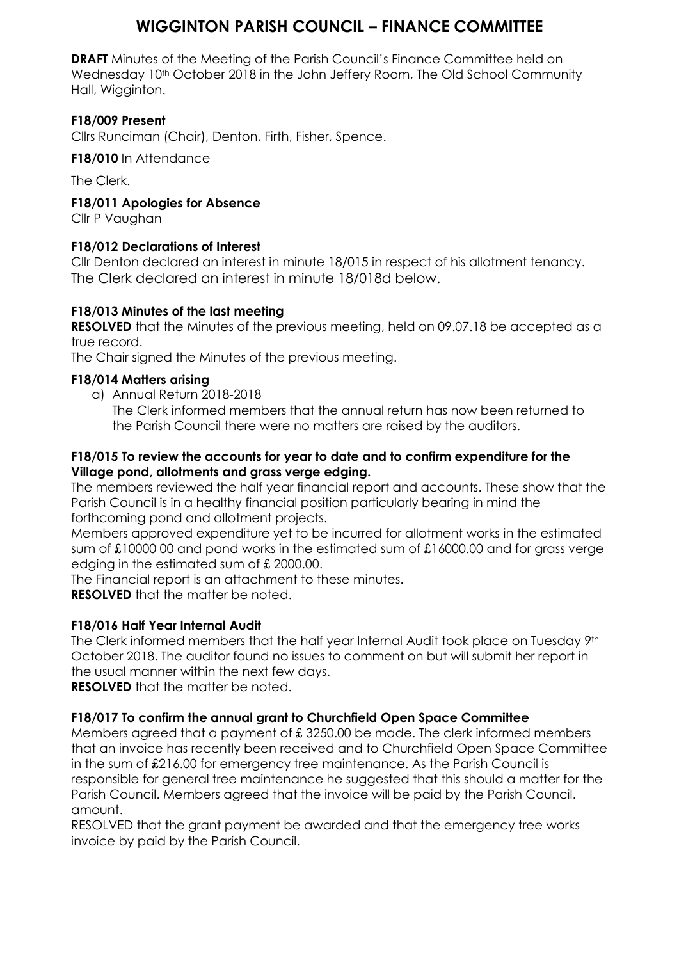### **WIGGINTON PARISH COUNCIL – FINANCE COMMITTEE**

**DRAFT** Minutes of the Meeting of the Parish Council's Finance Committee held on Wednesday 10<sup>th</sup> October 2018 in the John Jeffery Room, The Old School Community Hall, Wigginton.

#### **F18/009 Present**

Cllrs Runciman (Chair), Denton, Firth, Fisher, Spence.

**F18/010** In Attendance

The Clerk.

**F18/011 Apologies for Absence**

Cllr P Vaughan

#### **F18/012 Declarations of Interest**

Cllr Denton declared an interest in minute 18/015 in respect of his allotment tenancy. The Clerk declared an interest in minute 18/018d below.

#### **F18/013 Minutes of the last meeting**

**RESOLVED** that the Minutes of the previous meeting, held on 09.07.18 be accepted as a true record.

The Chair signed the Minutes of the previous meeting.

#### **F18/014 Matters arising**

a) Annual Return 2018-2018

The Clerk informed members that the annual return has now been returned to the Parish Council there were no matters are raised by the auditors.

#### **F18/015 To review the accounts for year to date and to confirm expenditure for the Village pond, allotments and grass verge edging.**

The members reviewed the half year financial report and accounts. These show that the Parish Council is in a healthy financial position particularly bearing in mind the forthcoming pond and allotment projects.

Members approved expenditure yet to be incurred for allotment works in the estimated sum of £10000 00 and pond works in the estimated sum of £16000.00 and for grass verge edging in the estimated sum of £ 2000.00.

The Financial report is an attachment to these minutes.

**RESOLVED** that the matter be noted.

#### **F18/016 Half Year Internal Audit**

The Clerk informed members that the half year Internal Audit took place on Tuesday 9th October 2018. The auditor found no issues to comment on but will submit her report in the usual manner within the next few days.

**RESOLVED** that the matter be noted.

#### **F18/017 To confirm the annual grant to Churchfield Open Space Committee**

Members agreed that a payment of £ 3250.00 be made. The clerk informed members that an invoice has recently been received and to Churchfield Open Space Committee in the sum of £216.00 for emergency tree maintenance. As the Parish Council is responsible for general tree maintenance he suggested that this should a matter for the Parish Council. Members agreed that the invoice will be paid by the Parish Council. amount.

RESOLVED that the grant payment be awarded and that the emergency tree works invoice by paid by the Parish Council.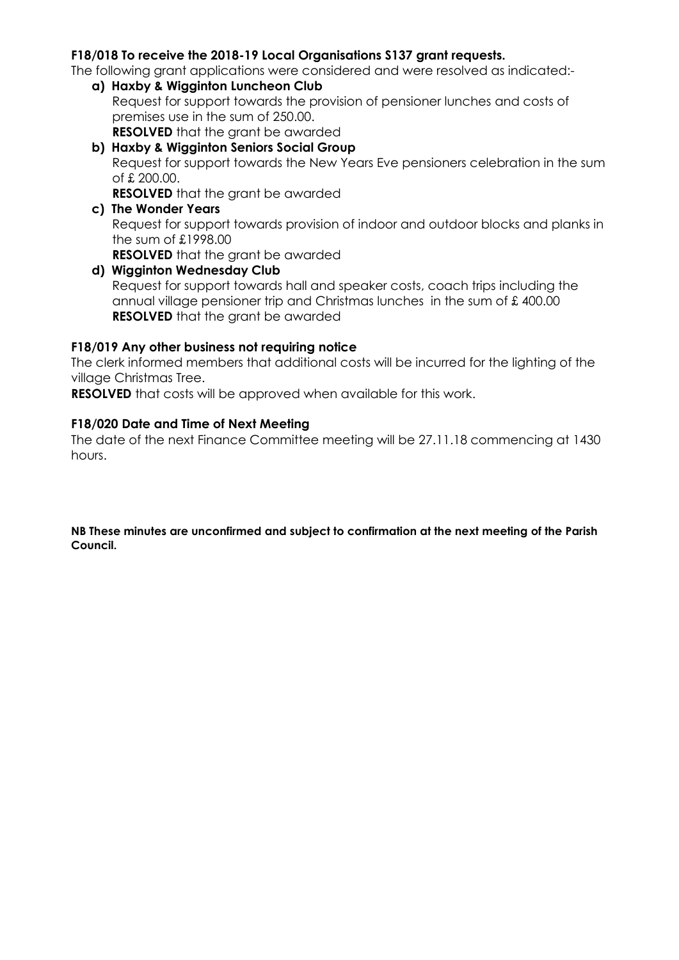#### **F18/018 To receive the 2018-19 Local Organisations S137 grant requests.**

The following grant applications were considered and were resolved as indicated:-

- **a) Haxby & Wigginton Luncheon Club** Request for support towards the provision of pensioner lunches and costs of premises use in the sum of 250.00. **RESOLVED** that the grant be awarded
- **b) Haxby & Wigginton Seniors Social Group** Request for support towards the New Years Eve pensioners celebration in the sum of £ 200.00.

**RESOLVED** that the grant be awarded

**c) The Wonder Years** Request for support towards provision of indoor and outdoor blocks and planks in the sum of £1998.00 **RESOLVED** that the grant be awarded

#### **d) Wigginton Wednesday Club** Request for support towards hall and speaker costs, coach trips including the annual village pensioner trip and Christmas lunches in the sum of £ 400.00 **RESOLVED** that the grant be awarded

#### **F18/019 Any other business not requiring notice**

The clerk informed members that additional costs will be incurred for the lighting of the village Christmas Tree.

**RESOLVED** that costs will be approved when available for this work.

#### **F18/020 Date and Time of Next Meeting**

The date of the next Finance Committee meeting will be 27.11.18 commencing at 1430 hours.

**NB These minutes are unconfirmed and subject to confirmation at the next meeting of the Parish Council.**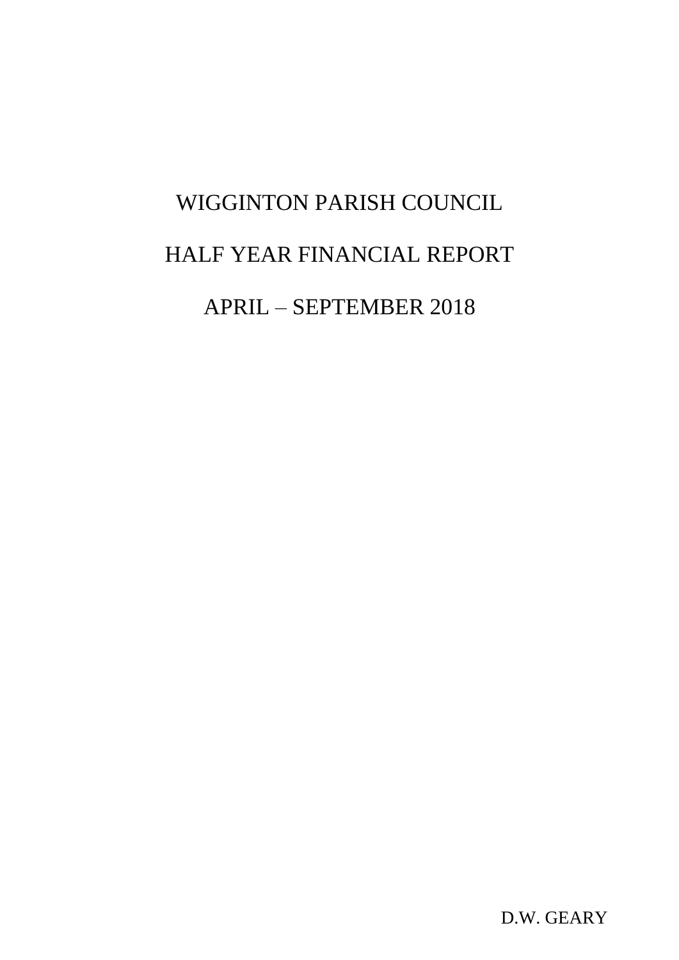# WIGGINTON PARISH COUNCIL HALF YEAR FINANCIAL REPORT APRIL – SEPTEMBER 2018

D.W. GEARY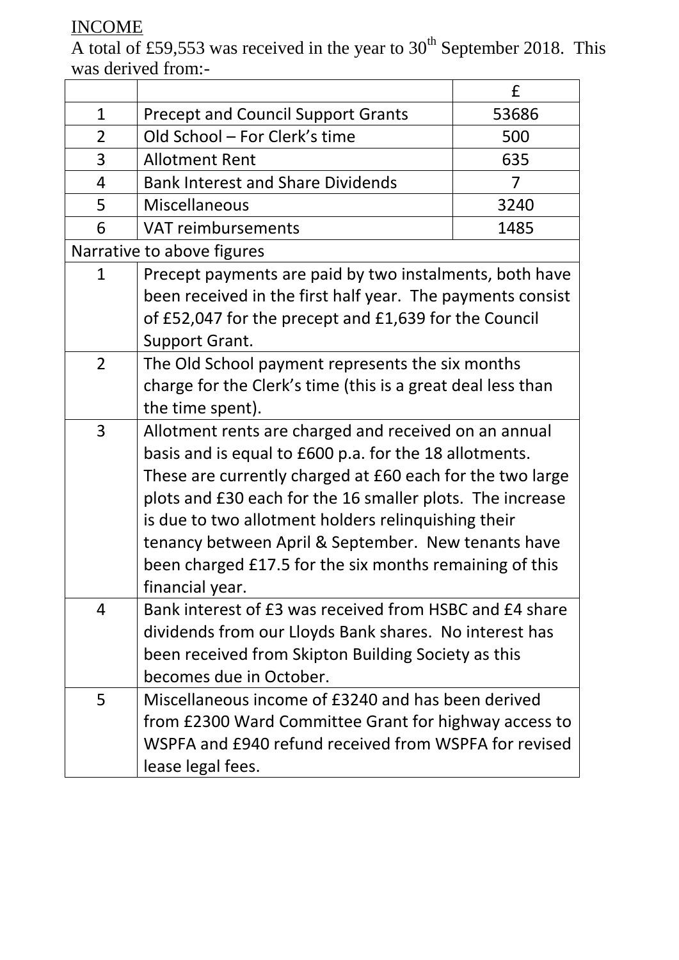## INCOME

A total of £59,553 was received in the year to  $30<sup>th</sup>$  September 2018. This was derived from:-

|                |                                                             | £     |  |  |  |
|----------------|-------------------------------------------------------------|-------|--|--|--|
| $\mathbf{1}$   | <b>Precept and Council Support Grants</b>                   | 53686 |  |  |  |
| $\overline{2}$ | Old School - For Clerk's time<br>500                        |       |  |  |  |
| 3              | <b>Allotment Rent</b><br>635                                |       |  |  |  |
| $\overline{4}$ | <b>Bank Interest and Share Dividends</b><br>7               |       |  |  |  |
| 5              | Miscellaneous<br>3240                                       |       |  |  |  |
| 6              | <b>VAT reimbursements</b><br>1485                           |       |  |  |  |
|                | Narrative to above figures                                  |       |  |  |  |
| $\mathbf{1}$   | Precept payments are paid by two instalments, both have     |       |  |  |  |
|                | been received in the first half year. The payments consist  |       |  |  |  |
|                | of £52,047 for the precept and £1,639 for the Council       |       |  |  |  |
|                | Support Grant.                                              |       |  |  |  |
| $\overline{2}$ | The Old School payment represents the six months            |       |  |  |  |
|                | charge for the Clerk's time (this is a great deal less than |       |  |  |  |
|                | the time spent).                                            |       |  |  |  |
| $\overline{3}$ | Allotment rents are charged and received on an annual       |       |  |  |  |
|                | basis and is equal to £600 p.a. for the 18 allotments.      |       |  |  |  |
|                | These are currently charged at £60 each for the two large   |       |  |  |  |
|                | plots and £30 each for the 16 smaller plots. The increase   |       |  |  |  |
|                | is due to two allotment holders relinquishing their         |       |  |  |  |
|                | tenancy between April & September. New tenants have         |       |  |  |  |
|                | been charged £17.5 for the six months remaining of this     |       |  |  |  |
|                | financial year.                                             |       |  |  |  |
| 4              | Bank interest of £3 was received from HSBC and £4 share     |       |  |  |  |
|                | dividends from our Lloyds Bank shares. No interest has      |       |  |  |  |
|                | been received from Skipton Building Society as this         |       |  |  |  |
|                | becomes due in October.                                     |       |  |  |  |
| 5              | Miscellaneous income of £3240 and has been derived          |       |  |  |  |
|                | from £2300 Ward Committee Grant for highway access to       |       |  |  |  |
|                | WSPFA and £940 refund received from WSPFA for revised       |       |  |  |  |
|                | lease legal fees.                                           |       |  |  |  |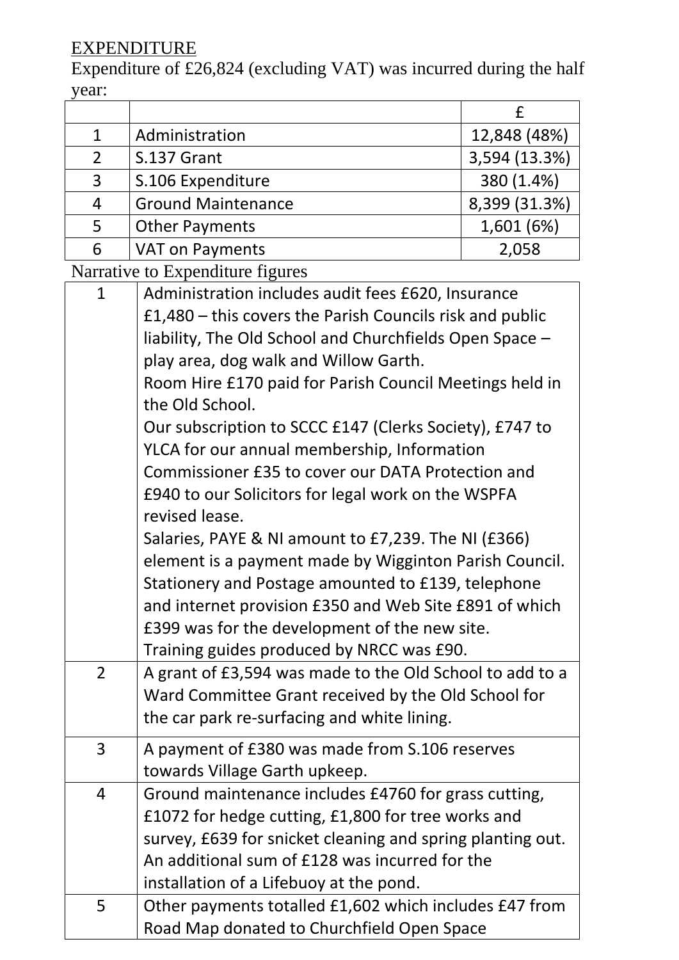## **EXPENDITURE**

Expenditure of  $\text{\pounds}26,824$  (excluding VAT) was incurred during the half year:

| 1              | Administration            | 12,848 (48%)  |
|----------------|---------------------------|---------------|
| $\mathfrak{D}$ | S.137 Grant               | 3,594 (13.3%) |
| 3              | S.106 Expenditure         | 380 (1.4%)    |
| 4              | <b>Ground Maintenance</b> | 8,399 (31.3%) |
| 5              | <b>Other Payments</b>     | 1,601 (6%)    |
| 6              | <b>VAT on Payments</b>    | 2,058         |
| $\blacksquare$ |                           |               |

Narrative to Expenditure figures

| $\mathbf{1}$   | Administration includes audit fees £620, Insurance         |  |  |  |
|----------------|------------------------------------------------------------|--|--|--|
|                | £1,480 – this covers the Parish Councils risk and public   |  |  |  |
|                | liability, The Old School and Churchfields Open Space -    |  |  |  |
|                | play area, dog walk and Willow Garth.                      |  |  |  |
|                | Room Hire £170 paid for Parish Council Meetings held in    |  |  |  |
|                | the Old School.                                            |  |  |  |
|                | Our subscription to SCCC £147 (Clerks Society), £747 to    |  |  |  |
|                | YLCA for our annual membership, Information                |  |  |  |
|                | Commissioner £35 to cover our DATA Protection and          |  |  |  |
|                | £940 to our Solicitors for legal work on the WSPFA         |  |  |  |
|                | revised lease.                                             |  |  |  |
|                | Salaries, PAYE & NI amount to £7,239. The NI (£366)        |  |  |  |
|                | element is a payment made by Wigginton Parish Council.     |  |  |  |
|                | Stationery and Postage amounted to £139, telephone         |  |  |  |
|                | and internet provision £350 and Web Site £891 of which     |  |  |  |
|                | £399 was for the development of the new site.              |  |  |  |
|                | Training guides produced by NRCC was £90.                  |  |  |  |
| $\overline{2}$ | A grant of £3,594 was made to the Old School to add to a   |  |  |  |
|                | Ward Committee Grant received by the Old School for        |  |  |  |
|                | the car park re-surfacing and white lining.                |  |  |  |
| $\overline{3}$ | A payment of £380 was made from S.106 reserves             |  |  |  |
|                | towards Village Garth upkeep.                              |  |  |  |
| 4              | Ground maintenance includes £4760 for grass cutting,       |  |  |  |
|                | £1072 for hedge cutting, £1,800 for tree works and         |  |  |  |
|                | survey, £639 for snicket cleaning and spring planting out. |  |  |  |
|                | An additional sum of £128 was incurred for the             |  |  |  |
|                | installation of a Lifebuoy at the pond.                    |  |  |  |
| 5              | Other payments totalled £1,602 which includes £47 from     |  |  |  |
|                | Road Map donated to Churchfield Open Space                 |  |  |  |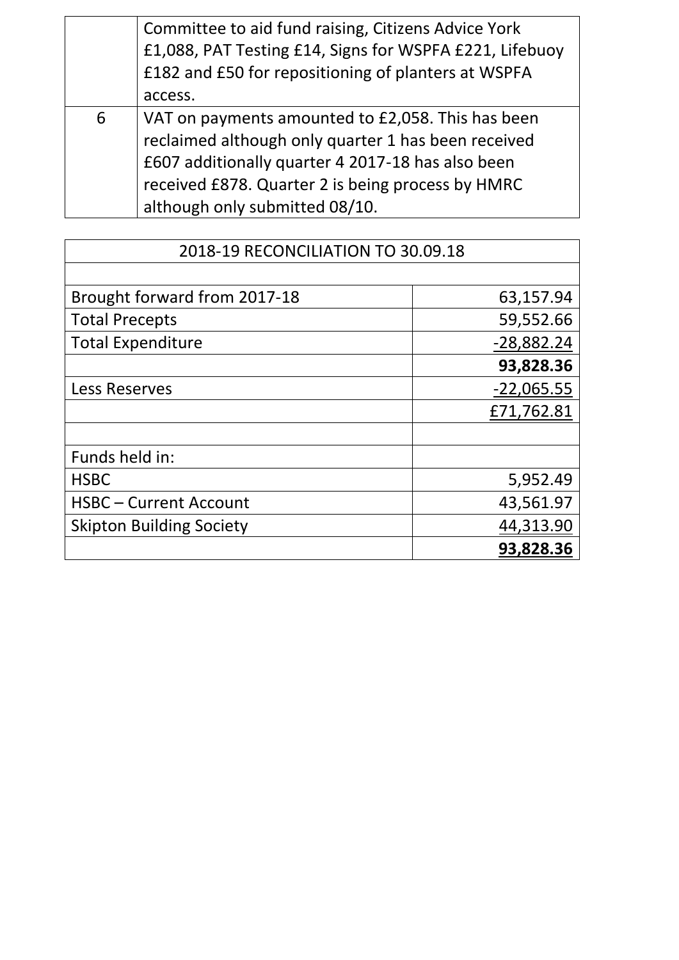|   | Committee to aid fund raising, Citizens Advice York<br>£1,088, PAT Testing £14, Signs for WSPFA £221, Lifebuoy<br>£182 and £50 for repositioning of planters at WSPFA                                                                                |
|---|------------------------------------------------------------------------------------------------------------------------------------------------------------------------------------------------------------------------------------------------------|
|   | access.                                                                                                                                                                                                                                              |
| 6 | VAT on payments amounted to £2,058. This has been<br>reclaimed although only quarter 1 has been received<br>£607 additionally quarter 4 2017-18 has also been<br>received £878. Quarter 2 is being process by HMRC<br>although only submitted 08/10. |

| 2018-19 RECONCILIATION TO 30.09.18 |              |  |
|------------------------------------|--------------|--|
|                                    |              |  |
| Brought forward from 2017-18       | 63,157.94    |  |
| <b>Total Precepts</b>              | 59,552.66    |  |
| <b>Total Expenditure</b>           | $-28,882.24$ |  |
|                                    | 93,828.36    |  |
| Less Reserves                      | $-22,065.55$ |  |
|                                    | £71,762.81   |  |
|                                    |              |  |
| Funds held in:                     |              |  |
| <b>HSBC</b>                        | 5,952.49     |  |
| <b>HSBC-Current Account</b>        | 43,561.97    |  |
| <b>Skipton Building Society</b>    | 44,313.90    |  |
|                                    | 93,828.36    |  |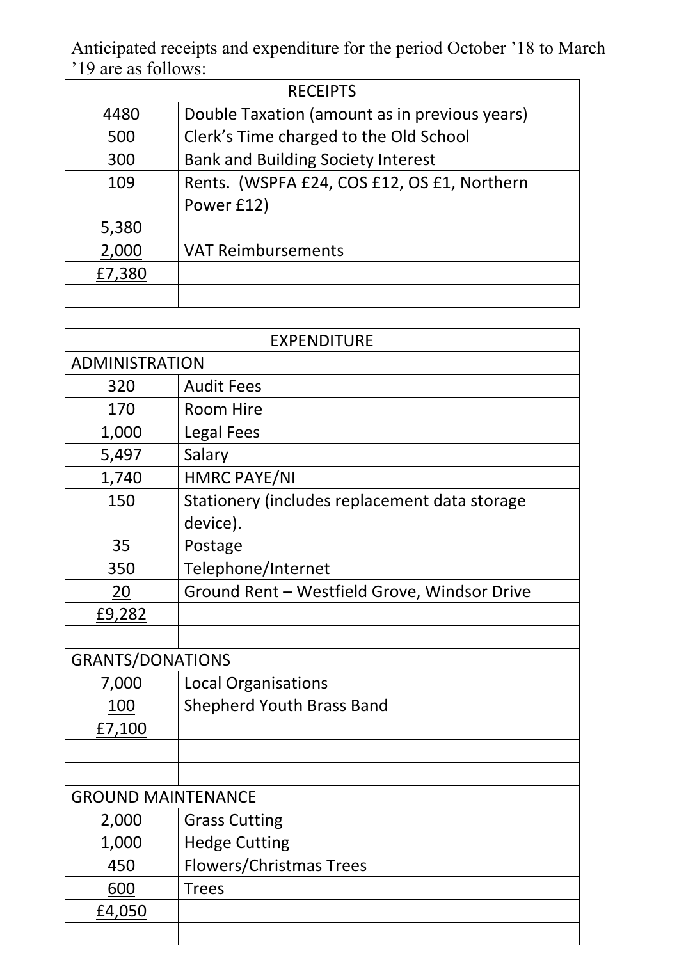Anticipated receipts and expenditure for the period October '18 to March '19 are as follows:

| <b>RECEIPTS</b> |                                               |  |  |
|-----------------|-----------------------------------------------|--|--|
| 4480            | Double Taxation (amount as in previous years) |  |  |
| 500             | Clerk's Time charged to the Old School        |  |  |
| 300             | <b>Bank and Building Society Interest</b>     |  |  |
| 109             | Rents. (WSPFA £24, COS £12, OS £1, Northern   |  |  |
|                 | Power £12)                                    |  |  |
| 5,380           |                                               |  |  |
| 2,000           | <b>VAT Reimbursements</b>                     |  |  |
| £7,380          |                                               |  |  |
|                 |                                               |  |  |

| <b>EXPENDITURE</b>        |                                               |  |  |
|---------------------------|-----------------------------------------------|--|--|
| <b>ADMINISTRATION</b>     |                                               |  |  |
| 320                       | <b>Audit Fees</b>                             |  |  |
| 170                       | <b>Room Hire</b>                              |  |  |
| 1,000                     | <b>Legal Fees</b>                             |  |  |
| 5,497                     | Salary                                        |  |  |
| 1,740                     | <b>HMRC PAYE/NI</b>                           |  |  |
| 150                       | Stationery (includes replacement data storage |  |  |
|                           | device).                                      |  |  |
| 35                        | Postage                                       |  |  |
| 350                       | Telephone/Internet                            |  |  |
| <u> 20</u>                | Ground Rent - Westfield Grove, Windsor Drive  |  |  |
| £9,282                    |                                               |  |  |
|                           |                                               |  |  |
| <b>GRANTS/DONATIONS</b>   |                                               |  |  |
| 7,000                     | <b>Local Organisations</b>                    |  |  |
| <u>100</u>                | <b>Shepherd Youth Brass Band</b>              |  |  |
| £7,100                    |                                               |  |  |
|                           |                                               |  |  |
|                           |                                               |  |  |
| <b>GROUND MAINTENANCE</b> |                                               |  |  |
| 2,000                     | <b>Grass Cutting</b>                          |  |  |
| 1,000                     | <b>Hedge Cutting</b>                          |  |  |
| 450                       | <b>Flowers/Christmas Trees</b>                |  |  |
| 600                       | <b>Trees</b>                                  |  |  |
| £4,050                    |                                               |  |  |
|                           |                                               |  |  |